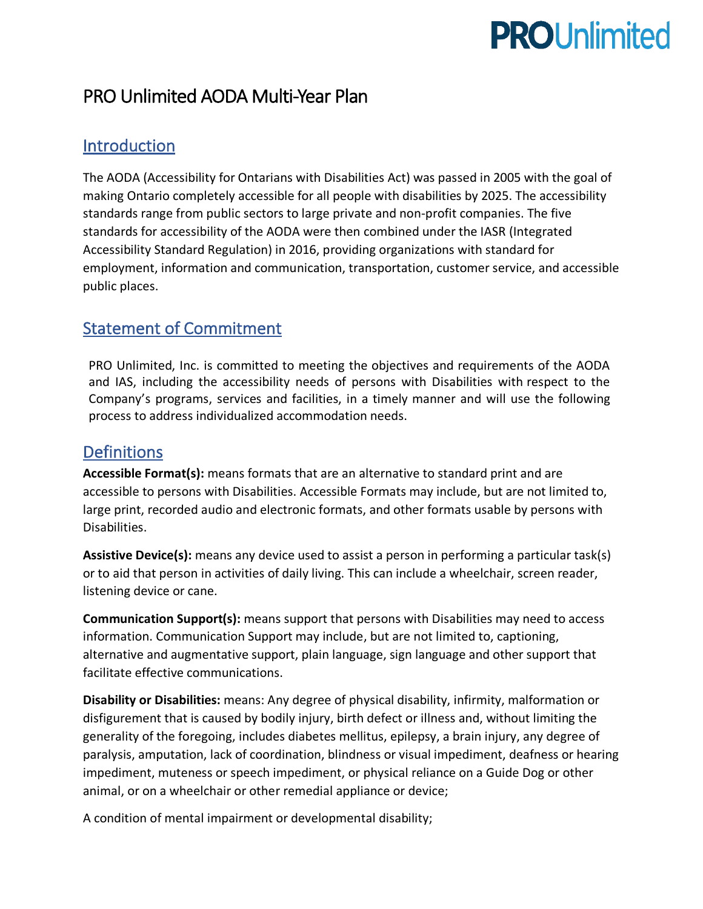# **PROUnlimited**

# PRO Unlimited AODA Multi-Year Plan

## **Introduction**

The AODA (Accessibility for Ontarians with Disabilities Act) was passed in 2005 with the goal of making Ontario completely accessible for all people with disabilities by 2025. The accessibility standards range from public sectors to large private and non-profit companies. The five standards for accessibility of the AODA were then combined under the IASR (Integrated Accessibility Standard Regulation) in 2016, providing organizations with standard for employment, information and communication, transportation, customer service, and accessible public places.

## Statement of Commitment

PRO Unlimited, Inc. is committed to meeting the objectives and requirements of the AODA and IAS, including the accessibility needs of persons with Disabilities with respect to the Company's programs, services and facilities, in a timely manner and will use the following process to address individualized accommodation needs.

## **Definitions**

**Accessible Format(s):** means formats that are an alternative to standard print and are accessible to persons with Disabilities. Accessible Formats may include, but are not limited to, large print, recorded audio and electronic formats, and other formats usable by persons with Disabilities.

**Assistive Device(s):** means any device used to assist a person in performing a particular task(s) or to aid that person in activities of daily living. This can include a wheelchair, screen reader, listening device or cane.

**Communication Support(s):** means support that persons with Disabilities may need to access information. Communication Support may include, but are not limited to, captioning, alternative and augmentative support, plain language, sign language and other support that facilitate effective communications.

**Disability or Disabilities:** means: Any degree of physical disability, infirmity, malformation or disfigurement that is caused by bodily injury, birth defect or illness and, without limiting the generality of the foregoing, includes diabetes mellitus, epilepsy, a brain injury, any degree of paralysis, amputation, lack of coordination, blindness or visual impediment, deafness or hearing impediment, muteness or speech impediment, or physical reliance on a Guide Dog or other animal, or on a wheelchair or other remedial appliance or device;

A condition of mental impairment or developmental disability;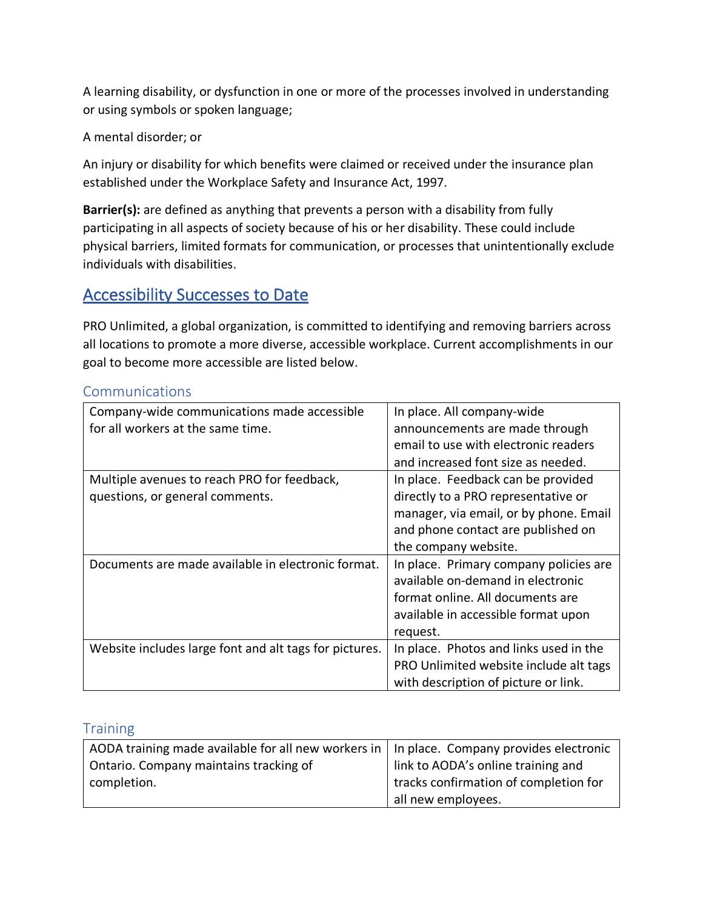A learning disability, or dysfunction in one or more of the processes involved in understanding or using symbols or spoken language;

A mental disorder; or

An injury or disability for which benefits were claimed or received under the insurance plan established under the Workplace Safety and Insurance Act, 1997.

**Barrier(s):** are defined as anything that prevents a person with a disability from fully participating in all aspects of society because of his or her disability. These could include physical barriers, limited formats for communication, or processes that unintentionally exclude individuals with disabilities.

### Accessibility Successes to Date

PRO Unlimited, a global organization, is committed to identifying and removing barriers across all locations to promote a more diverse, accessible workplace. Current accomplishments in our goal to become more accessible are listed below.

| Company-wide communications made accessible            | In place. All company-wide             |
|--------------------------------------------------------|----------------------------------------|
| for all workers at the same time.                      | announcements are made through         |
|                                                        | email to use with electronic readers   |
|                                                        | and increased font size as needed.     |
| Multiple avenues to reach PRO for feedback,            | In place. Feedback can be provided     |
| questions, or general comments.                        | directly to a PRO representative or    |
|                                                        | manager, via email, or by phone. Email |
|                                                        | and phone contact are published on     |
|                                                        | the company website.                   |
| Documents are made available in electronic format.     | In place. Primary company policies are |
|                                                        | available on-demand in electronic      |
|                                                        | format online. All documents are       |
|                                                        | available in accessible format upon    |
|                                                        | request.                               |
| Website includes large font and alt tags for pictures. | In place. Photos and links used in the |
|                                                        | PRO Unlimited website include alt tags |
|                                                        | with description of picture or link.   |

#### Communications

#### **Training**

| AODA training made available for all new workers in   In place. Company provides electronic |                                       |
|---------------------------------------------------------------------------------------------|---------------------------------------|
| Ontario. Company maintains tracking of                                                      | link to AODA's online training and    |
| completion.                                                                                 | tracks confirmation of completion for |
|                                                                                             | all new employees.                    |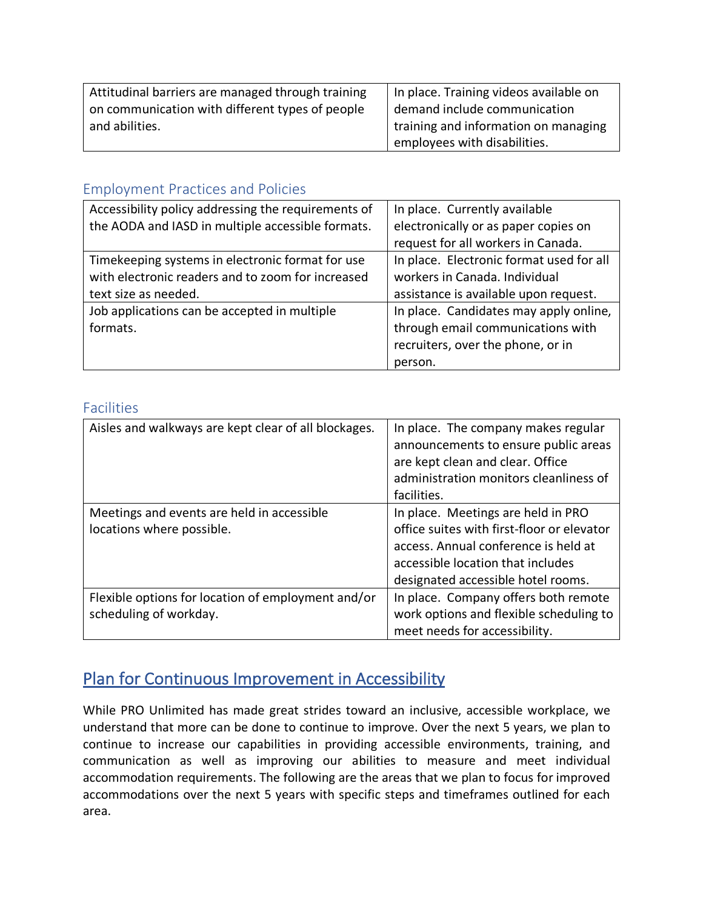| Attitudinal barriers are managed through training | In place. Training videos available on |
|---------------------------------------------------|----------------------------------------|
| on communication with different types of people   | demand include communication           |
| and abilities.                                    | training and information on managing   |
|                                                   | employees with disabilities.           |

#### Employment Practices and Policies

| Accessibility policy addressing the requirements of | In place. Currently available            |
|-----------------------------------------------------|------------------------------------------|
| the AODA and IASD in multiple accessible formats.   | electronically or as paper copies on     |
|                                                     | request for all workers in Canada.       |
| Timekeeping systems in electronic format for use    | In place. Electronic format used for all |
| with electronic readers and to zoom for increased   | workers in Canada. Individual            |
| text size as needed.                                | assistance is available upon request.    |
| Job applications can be accepted in multiple        | In place. Candidates may apply online,   |
| formats.                                            | through email communications with        |
|                                                     | recruiters, over the phone, or in        |
|                                                     | person.                                  |

#### Facilities

| Aisles and walkways are kept clear of all blockages. | In place. The company makes regular        |
|------------------------------------------------------|--------------------------------------------|
|                                                      | announcements to ensure public areas       |
|                                                      | are kept clean and clear. Office           |
|                                                      | administration monitors cleanliness of     |
|                                                      | facilities.                                |
| Meetings and events are held in accessible           | In place. Meetings are held in PRO         |
| locations where possible.                            | office suites with first-floor or elevator |
|                                                      | access. Annual conference is held at       |
|                                                      | accessible location that includes          |
|                                                      | designated accessible hotel rooms.         |
| Flexible options for location of employment and/or   | In place. Company offers both remote       |
| scheduling of workday.                               | work options and flexible scheduling to    |
|                                                      | meet needs for accessibility.              |

# Plan for Continuous Improvement in Accessibility

While PRO Unlimited has made great strides toward an inclusive, accessible workplace, we understand that more can be done to continue to improve. Over the next 5 years, we plan to continue to increase our capabilities in providing accessible environments, training, and communication as well as improving our abilities to measure and meet individual accommodation requirements. The following are the areas that we plan to focus for improved accommodations over the next 5 years with specific steps and timeframes outlined for each area.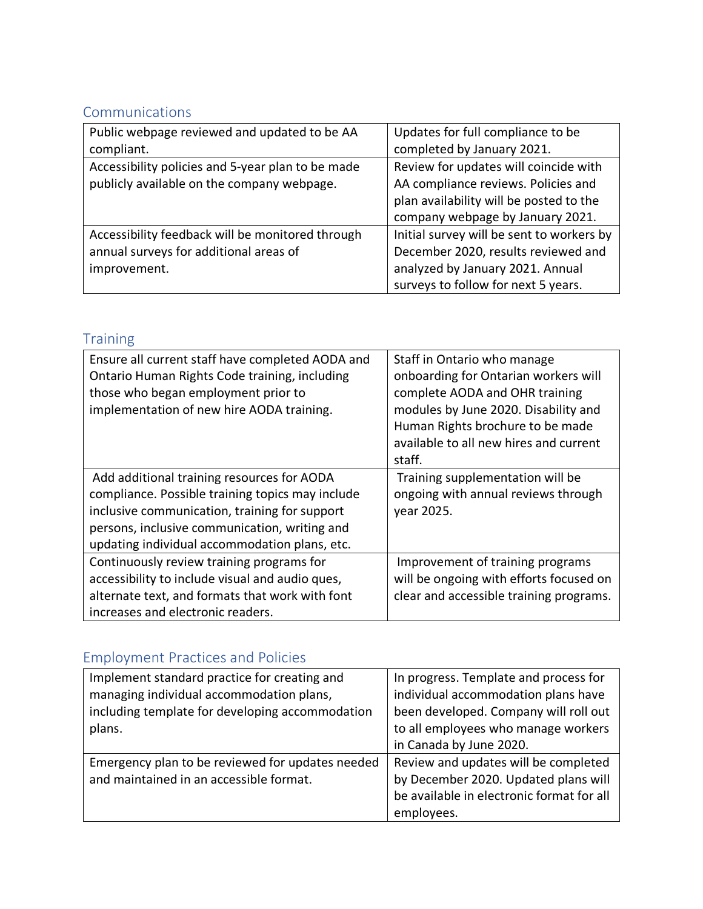## Communications

| Public webpage reviewed and updated to be AA      | Updates for full compliance to be         |
|---------------------------------------------------|-------------------------------------------|
| compliant.                                        | completed by January 2021.                |
| Accessibility policies and 5-year plan to be made | Review for updates will coincide with     |
| publicly available on the company webpage.        | AA compliance reviews. Policies and       |
|                                                   | plan availability will be posted to the   |
|                                                   | company webpage by January 2021.          |
| Accessibility feedback will be monitored through  | Initial survey will be sent to workers by |
| annual surveys for additional areas of            | December 2020, results reviewed and       |
| improvement.                                      | analyzed by January 2021. Annual          |
|                                                   | surveys to follow for next 5 years.       |

# Training

| Ensure all current staff have completed AODA and<br>Ontario Human Rights Code training, including<br>those who began employment prior to<br>implementation of new hire AODA training.                                                             | Staff in Ontario who manage<br>onboarding for Ontarian workers will<br>complete AODA and OHR training<br>modules by June 2020. Disability and<br>Human Rights brochure to be made<br>available to all new hires and current<br>staff. |
|---------------------------------------------------------------------------------------------------------------------------------------------------------------------------------------------------------------------------------------------------|---------------------------------------------------------------------------------------------------------------------------------------------------------------------------------------------------------------------------------------|
| Add additional training resources for AODA<br>compliance. Possible training topics may include<br>inclusive communication, training for support<br>persons, inclusive communication, writing and<br>updating individual accommodation plans, etc. | Training supplementation will be<br>ongoing with annual reviews through<br>year 2025.                                                                                                                                                 |
| Continuously review training programs for<br>accessibility to include visual and audio ques,<br>alternate text, and formats that work with font<br>increases and electronic readers.                                                              | Improvement of training programs<br>will be ongoing with efforts focused on<br>clear and accessible training programs.                                                                                                                |

# Employment Practices and Policies

| Implement standard practice for creating and     | In progress. Template and process for     |
|--------------------------------------------------|-------------------------------------------|
| managing individual accommodation plans,         | individual accommodation plans have       |
| including template for developing accommodation  | been developed. Company will roll out     |
| plans.                                           | to all employees who manage workers       |
|                                                  | in Canada by June 2020.                   |
| Emergency plan to be reviewed for updates needed | Review and updates will be completed      |
| and maintained in an accessible format.          | by December 2020. Updated plans will      |
|                                                  | be available in electronic format for all |
|                                                  | employees.                                |